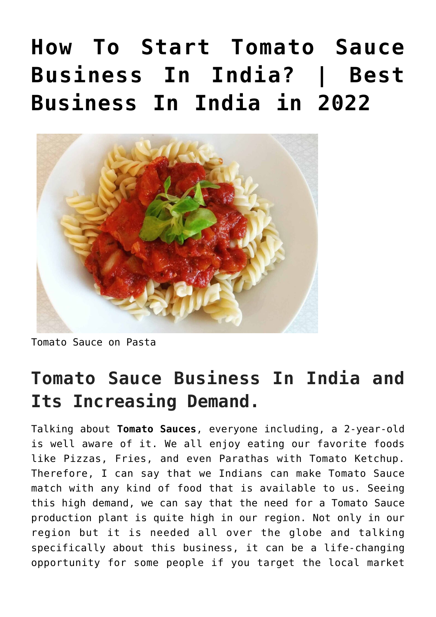# **[How To Start Tomato Sauce](https://inbusinessideas.com/how-to-start-tomato-sauce-business-in-india/) [Business In India? | Best](https://inbusinessideas.com/how-to-start-tomato-sauce-business-in-india/) [Business In India in 2022](https://inbusinessideas.com/how-to-start-tomato-sauce-business-in-india/)**



Tomato Sauce on Pasta

### **Tomato Sauce Business In India and Its Increasing Demand.**

Talking about **Tomato Sauces**, everyone including, a 2-year-old is well aware of it. We all enjoy eating our favorite foods like Pizzas, Fries, and even Parathas with Tomato Ketchup. Therefore, I can say that we Indians can make Tomato Sauce match with any kind of food that is available to us. Seeing this high demand, we can say that the need for a Tomato Sauce production plant is quite high in our region. Not only in our region but it is needed all over the globe and talking specifically about this business, it can be a life-changing opportunity for some people if you target the local market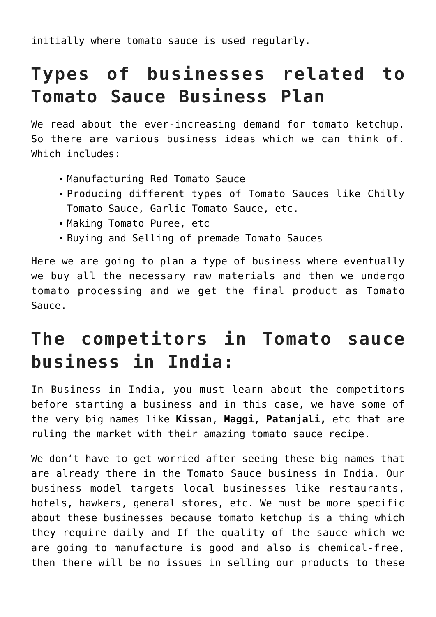initially where tomato sauce is used regularly.

# **Types of businesses related to Tomato Sauce Business Plan**

We read about the ever-increasing demand for tomato ketchup. So there are various business ideas which we can think of. Which includes:

- Manufacturing Red Tomato Sauce
- Producing different types of Tomato Sauces like Chilly Tomato Sauce, Garlic Tomato Sauce, etc.
- Making Tomato Puree, etc
- Buying and Selling of premade Tomato Sauces

Here we are going to plan a type of business where eventually we buy all the necessary raw materials and then we undergo tomato processing and we get the final product as Tomato Sauce.

### **The competitors in Tomato sauce business in India:**

In Business in India, you must learn about the competitors before starting a business and in this case, we have some of the very big names like **Kissan**, **Maggi**, **Patanjali,** etc that are ruling the market with their amazing tomato sauce recipe.

We don't have to get worried after seeing these big names that are already there in the Tomato Sauce business in India. Our business model targets local businesses like restaurants, hotels, hawkers, general stores, etc. We must be more specific about these businesses because tomato ketchup is a thing which they require daily and If the quality of the sauce which we are going to manufacture is good and also is chemical-free, then there will be no issues in selling our products to these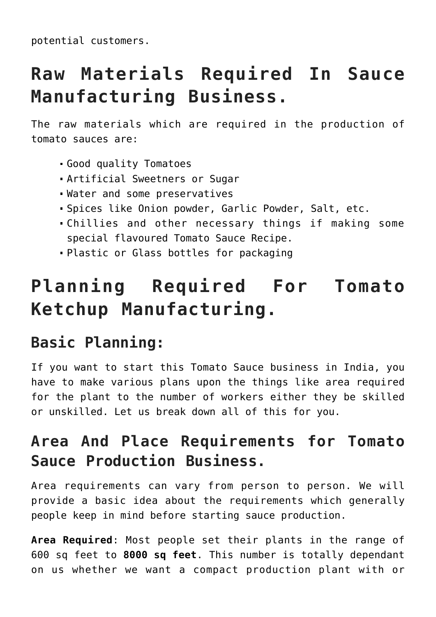potential customers.

# **Raw Materials Required In Sauce Manufacturing Business.**

The raw materials which are required in the production of tomato sauces are:

- Good quality Tomatoes
- Artificial Sweetners or Sugar
- Water and some preservatives
- Spices like Onion powder, Garlic Powder, Salt, etc.
- Chillies and other necessary things if making some special flavoured Tomato Sauce Recipe.
- Plastic or Glass bottles for packaging

# **Planning Required For Tomato Ketchup Manufacturing.**

#### **Basic Planning:**

If you want to start this Tomato Sauce business in India, you have to make various plans upon the things like area required for the plant to the number of workers either they be skilled or unskilled. Let us break down all of this for you.

#### **Area And Place Requirements for Tomato Sauce Production Business.**

Area requirements can vary from person to person. We will provide a basic idea about the requirements which generally people keep in mind before starting sauce production.

**Area Required**: Most people set their plants in the range of 600 sq feet to **8000 sq feet**. This number is totally dependant on us whether we want a compact production plant with or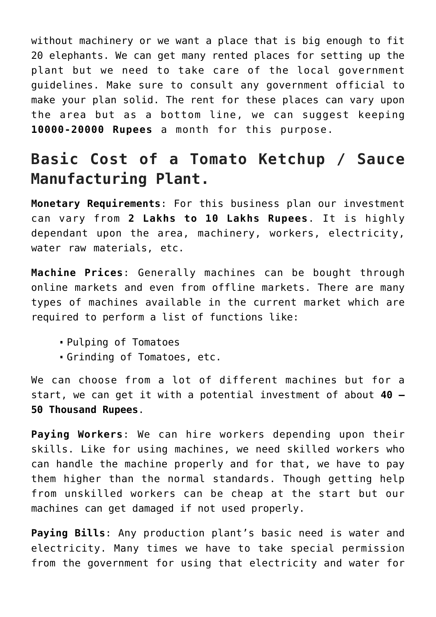without machinery or we want a place that is big enough to fit 20 elephants. We can get many rented places for setting up the plant but we need to take care of the local government guidelines. Make sure to consult any government official to make your plan solid. The rent for these places can vary upon the area but as a bottom line, we can suggest keeping **10000-20000 Rupees** a month for this purpose.

#### **Basic Cost of a Tomato Ketchup / Sauce Manufacturing Plant.**

**Monetary Requirements**: For this business plan our investment can vary from **2 Lakhs to 10 Lakhs Rupees**. It is highly dependant upon the area, machinery, workers, electricity, water raw materials, etc.

**Machine Prices**: Generally machines can be bought through online markets and even from offline markets. There are many types of machines available in the current market which are required to perform a list of functions like:

- Pulping of Tomatoes
- Grinding of Tomatoes, etc.

We can choose from a lot of different machines but for a start, we can get it with a potential investment of about **40 – 50 Thousand Rupees**.

**Paying Workers**: We can hire workers depending upon their skills. Like for using machines, we need skilled workers who can handle the machine properly and for that, we have to pay them higher than the normal standards. Though getting help from unskilled workers can be cheap at the start but our machines can get damaged if not used properly.

**Paying Bills**: Any production plant's basic need is water and electricity. Many times we have to take special permission from the government for using that electricity and water for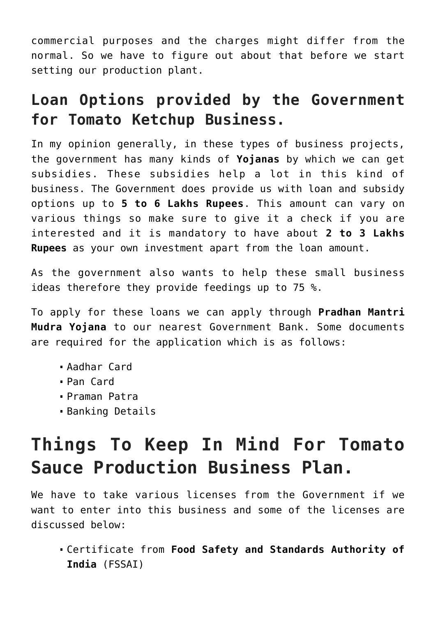commercial purposes and the charges might differ from the normal. So we have to figure out about that before we start setting our production plant.

#### **Loan Options provided by the Government for Tomato Ketchup Business.**

In my opinion generally, in these types of business projects, the government has many kinds of **Yojanas** by which we can get subsidies. These subsidies help a lot in this kind of business. The Government does provide us with loan and subsidy options up to **5 to 6 Lakhs Rupees**. This amount can vary on various things so make sure to give it a check if you are interested and it is mandatory to have about **2 to 3 Lakhs Rupees** as your own investment apart from the loan amount.

As the government also wants to help these small business ideas therefore they provide feedings up to 75 %.

To apply for these loans we can apply through **Pradhan Mantri Mudra Yojana** to our nearest Government Bank. Some documents are required for the application which is as follows:

- Aadhar Card
- Pan Card
- Praman Patra
- Banking Details

# **Things To Keep In Mind For Tomato Sauce Production Business Plan.**

We have to take various licenses from the Government if we want to enter into this business and some of the licenses are discussed below:

Certificate from **Food Safety and Standards Authority of India** (FSSAI)